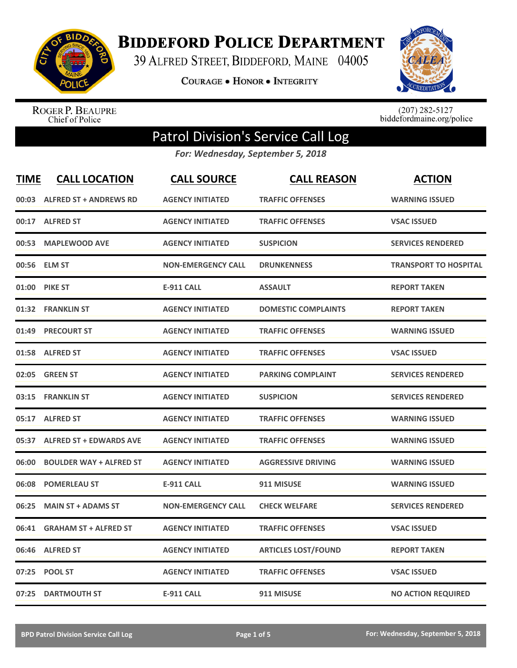

## **BIDDEFORD POLICE DEPARTMENT**

39 ALFRED STREET, BIDDEFORD, MAINE 04005

**COURAGE . HONOR . INTEGRITY** 



ROGER P. BEAUPRE<br>Chief of Police

 $(207)$  282-5127<br>biddefordmaine.org/police

## Patrol Division's Service Call Log

*For: Wednesday, September 5, 2018*

| <b>TIME</b> | <b>CALL LOCATION</b>           | <b>CALL SOURCE</b>        | <b>CALL REASON</b>         | <b>ACTION</b>                |
|-------------|--------------------------------|---------------------------|----------------------------|------------------------------|
| 00:03       | <b>ALFRED ST + ANDREWS RD</b>  | <b>AGENCY INITIATED</b>   | <b>TRAFFIC OFFENSES</b>    | <b>WARNING ISSUED</b>        |
| 00:17       | <b>ALFRED ST</b>               | <b>AGENCY INITIATED</b>   | <b>TRAFFIC OFFENSES</b>    | <b>VSAC ISSUED</b>           |
| 00:53       | <b>MAPLEWOOD AVE</b>           | <b>AGENCY INITIATED</b>   | <b>SUSPICION</b>           | <b>SERVICES RENDERED</b>     |
| 00:56       | <b>ELM ST</b>                  | <b>NON-EMERGENCY CALL</b> | <b>DRUNKENNESS</b>         | <b>TRANSPORT TO HOSPITAL</b> |
| 01:00       | <b>PIKE ST</b>                 | <b>E-911 CALL</b>         | <b>ASSAULT</b>             | <b>REPORT TAKEN</b>          |
| 01:32       | <b>FRANKLIN ST</b>             | <b>AGENCY INITIATED</b>   | <b>DOMESTIC COMPLAINTS</b> | <b>REPORT TAKEN</b>          |
| 01:49       | <b>PRECOURT ST</b>             | <b>AGENCY INITIATED</b>   | <b>TRAFFIC OFFENSES</b>    | <b>WARNING ISSUED</b>        |
| 01:58       | <b>ALFRED ST</b>               | <b>AGENCY INITIATED</b>   | <b>TRAFFIC OFFENSES</b>    | <b>VSAC ISSUED</b>           |
| 02:05       | <b>GREEN ST</b>                | <b>AGENCY INITIATED</b>   | <b>PARKING COMPLAINT</b>   | <b>SERVICES RENDERED</b>     |
| 03:15       | <b>FRANKLIN ST</b>             | <b>AGENCY INITIATED</b>   | <b>SUSPICION</b>           | <b>SERVICES RENDERED</b>     |
| 05:17       | <b>ALFRED ST</b>               | <b>AGENCY INITIATED</b>   | <b>TRAFFIC OFFENSES</b>    | <b>WARNING ISSUED</b>        |
| 05:37       | <b>ALFRED ST + EDWARDS AVE</b> | <b>AGENCY INITIATED</b>   | <b>TRAFFIC OFFENSES</b>    | <b>WARNING ISSUED</b>        |
| 06:00       | <b>BOULDER WAY + ALFRED ST</b> | <b>AGENCY INITIATED</b>   | <b>AGGRESSIVE DRIVING</b>  | <b>WARNING ISSUED</b>        |
| 06:08       | <b>POMERLEAU ST</b>            | <b>E-911 CALL</b>         | 911 MISUSE                 | <b>WARNING ISSUED</b>        |
| 06:25       | <b>MAIN ST + ADAMS ST</b>      | <b>NON-EMERGENCY CALL</b> | <b>CHECK WELFARE</b>       | <b>SERVICES RENDERED</b>     |
| 06:41       | <b>GRAHAM ST + ALFRED ST</b>   | <b>AGENCY INITIATED</b>   | <b>TRAFFIC OFFENSES</b>    | <b>VSAC ISSUED</b>           |
| 06:46       | <b>ALFRED ST</b>               | <b>AGENCY INITIATED</b>   | <b>ARTICLES LOST/FOUND</b> | <b>REPORT TAKEN</b>          |
| 07:25       | <b>POOL ST</b>                 | <b>AGENCY INITIATED</b>   | <b>TRAFFIC OFFENSES</b>    | <b>VSAC ISSUED</b>           |
|             | 07:25 DARTMOUTH ST             | <b>E-911 CALL</b>         | 911 MISUSE                 | <b>NO ACTION REQUIRED</b>    |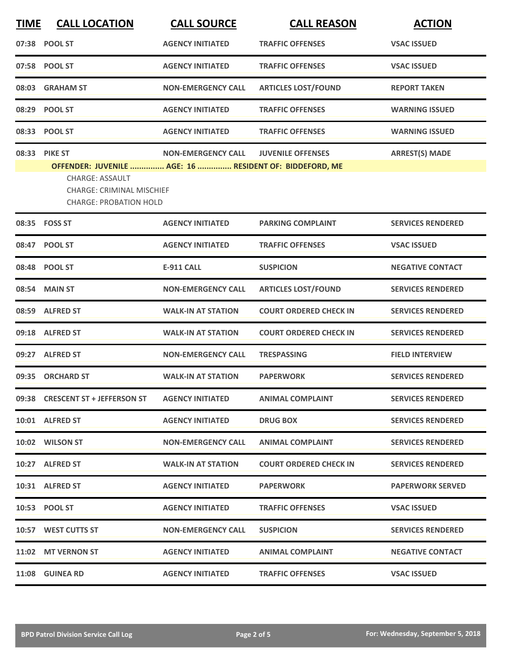| <b>TIME</b> | <b>CALL LOCATION</b>                                                                                                                                                    | <b>CALL SOURCE</b>        | <b>CALL REASON</b>            | <b>ACTION</b>            |
|-------------|-------------------------------------------------------------------------------------------------------------------------------------------------------------------------|---------------------------|-------------------------------|--------------------------|
|             | 07:38 POOL ST                                                                                                                                                           | <b>AGENCY INITIATED</b>   | <b>TRAFFIC OFFENSES</b>       | <b>VSAC ISSUED</b>       |
|             | 07:58 POOL ST                                                                                                                                                           | <b>AGENCY INITIATED</b>   | <b>TRAFFIC OFFENSES</b>       | <b>VSAC ISSUED</b>       |
| 08:03       | <b>GRAHAM ST</b>                                                                                                                                                        | NON-EMERGENCY CALL        | <b>ARTICLES LOST/FOUND</b>    | <b>REPORT TAKEN</b>      |
|             | 08:29 POOL ST                                                                                                                                                           | <b>AGENCY INITIATED</b>   | <b>TRAFFIC OFFENSES</b>       | <b>WARNING ISSUED</b>    |
|             | 08:33 POOL ST                                                                                                                                                           | <b>AGENCY INITIATED</b>   | <b>TRAFFIC OFFENSES</b>       | <b>WARNING ISSUED</b>    |
|             | 08:33 PIKE ST<br>OFFENDER: JUVENILE  AGE: 16  RESIDENT OF: BIDDEFORD, ME<br><b>CHARGE: ASSAULT</b><br><b>CHARGE: CRIMINAL MISCHIEF</b><br><b>CHARGE: PROBATION HOLD</b> | <b>NON-EMERGENCY CALL</b> | <b>JUVENILE OFFENSES</b>      | <b>ARREST(S) MADE</b>    |
|             | 08:35 FOSS ST                                                                                                                                                           | <b>AGENCY INITIATED</b>   | <b>PARKING COMPLAINT</b>      | <b>SERVICES RENDERED</b> |
|             | 08:47 POOL ST                                                                                                                                                           | <b>AGENCY INITIATED</b>   | <b>TRAFFIC OFFENSES</b>       | <b>VSAC ISSUED</b>       |
| 08:48       | <b>POOL ST</b>                                                                                                                                                          | <b>E-911 CALL</b>         | <b>SUSPICION</b>              | <b>NEGATIVE CONTACT</b>  |
| 08:54       | <b>MAIN ST</b>                                                                                                                                                          | <b>NON-EMERGENCY CALL</b> | <b>ARTICLES LOST/FOUND</b>    | <b>SERVICES RENDERED</b> |
| 08:59       | <b>ALFRED ST</b>                                                                                                                                                        | <b>WALK-IN AT STATION</b> | <b>COURT ORDERED CHECK IN</b> | <b>SERVICES RENDERED</b> |
|             | 09:18 ALFRED ST                                                                                                                                                         | <b>WALK-IN AT STATION</b> | <b>COURT ORDERED CHECK IN</b> | <b>SERVICES RENDERED</b> |
|             | 09:27 ALFRED ST                                                                                                                                                         | <b>NON-EMERGENCY CALL</b> | <b>TRESPASSING</b>            | <b>FIELD INTERVIEW</b>   |
| 09:35       | <b>ORCHARD ST</b>                                                                                                                                                       | <b>WALK-IN AT STATION</b> | <b>PAPERWORK</b>              | <b>SERVICES RENDERED</b> |
|             | 09:38 CRESCENT ST + JEFFERSON ST                                                                                                                                        | <b>AGENCY INITIATED</b>   | <b>ANIMAL COMPLAINT</b>       | <b>SERVICES RENDERED</b> |
|             | 10:01 ALFRED ST                                                                                                                                                         | <b>AGENCY INITIATED</b>   | <b>DRUG BOX</b>               | <b>SERVICES RENDERED</b> |
|             | 10:02 WILSON ST                                                                                                                                                         | <b>NON-EMERGENCY CALL</b> | <b>ANIMAL COMPLAINT</b>       | <b>SERVICES RENDERED</b> |
|             | 10:27 ALFRED ST                                                                                                                                                         | <b>WALK-IN AT STATION</b> | <b>COURT ORDERED CHECK IN</b> | <b>SERVICES RENDERED</b> |
|             | 10:31 ALFRED ST                                                                                                                                                         | <b>AGENCY INITIATED</b>   | <b>PAPERWORK</b>              | <b>PAPERWORK SERVED</b>  |
|             | 10:53 POOL ST                                                                                                                                                           | <b>AGENCY INITIATED</b>   | <b>TRAFFIC OFFENSES</b>       | <b>VSAC ISSUED</b>       |
|             | 10:57 WEST CUTTS ST                                                                                                                                                     | <b>NON-EMERGENCY CALL</b> | <b>SUSPICION</b>              | <b>SERVICES RENDERED</b> |
|             | 11:02 MT VERNON ST                                                                                                                                                      | <b>AGENCY INITIATED</b>   | <b>ANIMAL COMPLAINT</b>       | <b>NEGATIVE CONTACT</b>  |
|             | 11:08 GUINEA RD                                                                                                                                                         | <b>AGENCY INITIATED</b>   | <b>TRAFFIC OFFENSES</b>       | <b>VSAC ISSUED</b>       |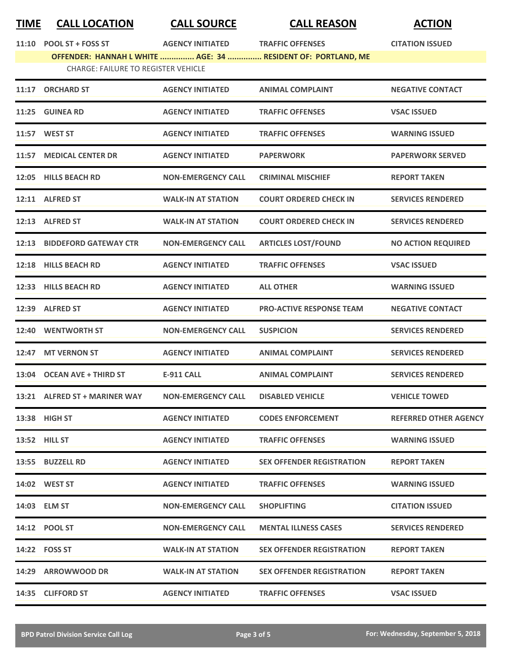## **TIME CALL LOCATION CALL SOURCE CALL REASON ACTION**

| 11:10 | POOL ST + FOSS ST                          | <b>AGENCY INITIATED</b>   | <b>TRAFFIC OFFENSES</b>                                      | <b>CITATION ISSUED</b>       |
|-------|--------------------------------------------|---------------------------|--------------------------------------------------------------|------------------------------|
|       |                                            |                           | OFFENDER: HANNAH L WHITE  AGE: 34  RESIDENT OF: PORTLAND, ME |                              |
|       | <b>CHARGE: FAILURE TO REGISTER VEHICLE</b> |                           |                                                              |                              |
| 11:17 | <b>ORCHARD ST</b>                          | <b>AGENCY INITIATED</b>   | <b>ANIMAL COMPLAINT</b>                                      | <b>NEGATIVE CONTACT</b>      |
| 11:25 | <b>GUINEA RD</b>                           | <b>AGENCY INITIATED</b>   | <b>TRAFFIC OFFENSES</b>                                      | <b>VSAC ISSUED</b>           |
|       | 11:57 WEST ST                              | <b>AGENCY INITIATED</b>   | <b>TRAFFIC OFFENSES</b>                                      | <b>WARNING ISSUED</b>        |
| 11:57 | <b>MEDICAL CENTER DR</b>                   | <b>AGENCY INITIATED</b>   | <b>PAPERWORK</b>                                             | <b>PAPERWORK SERVED</b>      |
|       | 12:05 HILLS BEACH RD                       | <b>NON-EMERGENCY CALL</b> | <b>CRIMINAL MISCHIEF</b>                                     | <b>REPORT TAKEN</b>          |
|       | 12:11 ALFRED ST                            | <b>WALK-IN AT STATION</b> | <b>COURT ORDERED CHECK IN</b>                                | <b>SERVICES RENDERED</b>     |
|       | 12:13 ALFRED ST                            | <b>WALK-IN AT STATION</b> | <b>COURT ORDERED CHECK IN</b>                                | <b>SERVICES RENDERED</b>     |
|       | 12:13 BIDDEFORD GATEWAY CTR                | <b>NON-EMERGENCY CALL</b> | <b>ARTICLES LOST/FOUND</b>                                   | <b>NO ACTION REQUIRED</b>    |
|       | 12:18 HILLS BEACH RD                       | <b>AGENCY INITIATED</b>   | <b>TRAFFIC OFFENSES</b>                                      | <b>VSAC ISSUED</b>           |
| 12:33 | <b>HILLS BEACH RD</b>                      | <b>AGENCY INITIATED</b>   | <b>ALL OTHER</b>                                             | <b>WARNING ISSUED</b>        |
| 12:39 | <b>ALFRED ST</b>                           | <b>AGENCY INITIATED</b>   | <b>PRO-ACTIVE RESPONSE TEAM</b>                              | <b>NEGATIVE CONTACT</b>      |
|       | 12:40 WENTWORTH ST                         | <b>NON-EMERGENCY CALL</b> | <b>SUSPICION</b>                                             | <b>SERVICES RENDERED</b>     |
| 12:47 | <b>MT VERNON ST</b>                        | <b>AGENCY INITIATED</b>   | <b>ANIMAL COMPLAINT</b>                                      | <b>SERVICES RENDERED</b>     |
|       | 13:04 OCEAN AVE + THIRD ST                 | <b>E-911 CALL</b>         | <b>ANIMAL COMPLAINT</b>                                      | <b>SERVICES RENDERED</b>     |
|       | 13:21 ALFRED ST + MARINER WAY              | <b>NON-EMERGENCY CALL</b> | <b>DISABLED VEHICLE</b>                                      | <b>VEHICLE TOWED</b>         |
|       | 13:38 HIGH ST                              | <b>AGENCY INITIATED</b>   | <b>CODES ENFORCEMENT</b>                                     | <b>REFERRED OTHER AGENCY</b> |
|       | <b>13:52 HILL ST</b>                       | <b>AGENCY INITIATED</b>   | <b>TRAFFIC OFFENSES</b>                                      | <b>WARNING ISSUED</b>        |
|       | 13:55 BUZZELL RD                           | <b>AGENCY INITIATED</b>   | <b>SEX OFFENDER REGISTRATION</b>                             | <b>REPORT TAKEN</b>          |
|       | 14:02 WEST ST                              | <b>AGENCY INITIATED</b>   | <b>TRAFFIC OFFENSES</b>                                      | <b>WARNING ISSUED</b>        |
|       | 14:03 ELM ST                               | <b>NON-EMERGENCY CALL</b> | <b>SHOPLIFTING</b>                                           | <b>CITATION ISSUED</b>       |
|       | 14:12 POOL ST                              | <b>NON-EMERGENCY CALL</b> | <b>MENTAL ILLNESS CASES</b>                                  | <b>SERVICES RENDERED</b>     |
|       | 14:22    FOSS ST                           | <b>WALK-IN AT STATION</b> | <b>SEX OFFENDER REGISTRATION</b>                             | <b>REPORT TAKEN</b>          |
|       | 14:29 ARROWWOOD DR                         | <b>WALK-IN AT STATION</b> | <b>SEX OFFENDER REGISTRATION</b>                             | <b>REPORT TAKEN</b>          |
|       | 14:35 CLIFFORD ST                          | <b>AGENCY INITIATED</b>   | <b>TRAFFIC OFFENSES</b>                                      | <b>VSAC ISSUED</b>           |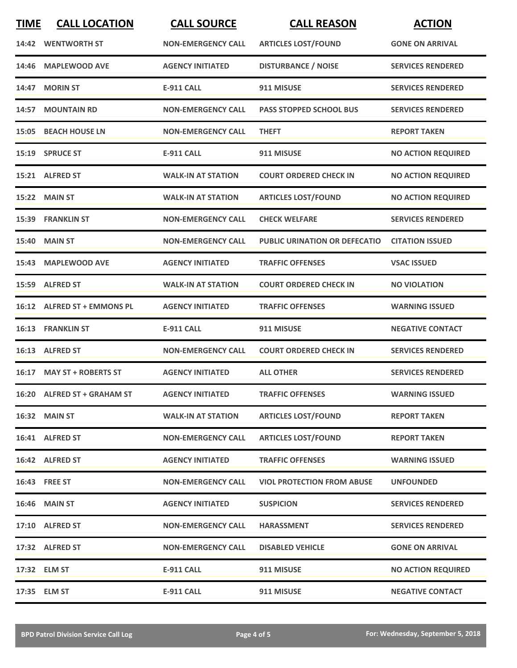| <b>TIME</b> | <b>CALL LOCATION</b>        | <b>CALL SOURCE</b>        | <b>CALL REASON</b>                   | <b>ACTION</b>             |
|-------------|-----------------------------|---------------------------|--------------------------------------|---------------------------|
|             | 14:42 WENTWORTH ST          | <b>NON-EMERGENCY CALL</b> | <b>ARTICLES LOST/FOUND</b>           | <b>GONE ON ARRIVAL</b>    |
| 14:46       | <b>MAPLEWOOD AVE</b>        | <b>AGENCY INITIATED</b>   | <b>DISTURBANCE / NOISE</b>           | <b>SERVICES RENDERED</b>  |
| 14:47       | <b>MORIN ST</b>             | <b>E-911 CALL</b>         | 911 MISUSE                           | <b>SERVICES RENDERED</b>  |
|             | 14:57 MOUNTAIN RD           | <b>NON-EMERGENCY CALL</b> | <b>PASS STOPPED SCHOOL BUS</b>       | <b>SERVICES RENDERED</b>  |
|             | <b>15:05 BEACH HOUSE LN</b> | <b>NON-EMERGENCY CALL</b> | <b>THEFT</b>                         | <b>REPORT TAKEN</b>       |
|             | 15:19 SPRUCE ST             | <b>E-911 CALL</b>         | 911 MISUSE                           | <b>NO ACTION REQUIRED</b> |
|             | 15:21 ALFRED ST             | <b>WALK-IN AT STATION</b> | <b>COURT ORDERED CHECK IN</b>        | <b>NO ACTION REQUIRED</b> |
| 15:22       | <b>MAIN ST</b>              | <b>WALK-IN AT STATION</b> | <b>ARTICLES LOST/FOUND</b>           | <b>NO ACTION REQUIRED</b> |
|             | 15:39 FRANKLIN ST           | <b>NON-EMERGENCY CALL</b> | <b>CHECK WELFARE</b>                 | <b>SERVICES RENDERED</b>  |
|             | <b>15:40 MAIN ST</b>        | <b>NON-EMERGENCY CALL</b> | <b>PUBLIC URINATION OR DEFECATIO</b> | <b>CITATION ISSUED</b>    |
|             | 15:43 MAPLEWOOD AVE         | <b>AGENCY INITIATED</b>   | <b>TRAFFIC OFFENSES</b>              | <b>VSAC ISSUED</b>        |
|             | 15:59 ALFRED ST             | <b>WALK-IN AT STATION</b> | <b>COURT ORDERED CHECK IN</b>        | <b>NO VIOLATION</b>       |
|             | 16:12 ALFRED ST + EMMONS PL | <b>AGENCY INITIATED</b>   | <b>TRAFFIC OFFENSES</b>              | <b>WARNING ISSUED</b>     |
|             | 16:13 FRANKLIN ST           | <b>E-911 CALL</b>         | 911 MISUSE                           | <b>NEGATIVE CONTACT</b>   |
|             | 16:13 ALFRED ST             | <b>NON-EMERGENCY CALL</b> | <b>COURT ORDERED CHECK IN</b>        | <b>SERVICES RENDERED</b>  |
|             | 16:17 MAY ST + ROBERTS ST   | <b>AGENCY INITIATED</b>   | <b>ALL OTHER</b>                     | <b>SERVICES RENDERED</b>  |
|             | 16:20 ALFRED ST + GRAHAM ST | <b>AGENCY INITIATED</b>   | <b>TRAFFIC OFFENSES</b>              | <b>WARNING ISSUED</b>     |
|             | 16:32 MAIN ST               | <b>WALK-IN AT STATION</b> | <b>ARTICLES LOST/FOUND</b>           | <b>REPORT TAKEN</b>       |
|             | 16:41 ALFRED ST             | <b>NON-EMERGENCY CALL</b> | <b>ARTICLES LOST/FOUND</b>           | <b>REPORT TAKEN</b>       |
|             | 16:42 ALFRED ST             | <b>AGENCY INITIATED</b>   | <b>TRAFFIC OFFENSES</b>              | <b>WARNING ISSUED</b>     |
|             | 16:43 FREE ST               | <b>NON-EMERGENCY CALL</b> | <b>VIOL PROTECTION FROM ABUSE</b>    | <b>UNFOUNDED</b>          |
|             | <b>16:46 MAIN ST</b>        | <b>AGENCY INITIATED</b>   | <b>SUSPICION</b>                     | <b>SERVICES RENDERED</b>  |
|             | 17:10 ALFRED ST             | <b>NON-EMERGENCY CALL</b> | <b>HARASSMENT</b>                    | <b>SERVICES RENDERED</b>  |
|             | 17:32 ALFRED ST             | <b>NON-EMERGENCY CALL</b> | <b>DISABLED VEHICLE</b>              | <b>GONE ON ARRIVAL</b>    |
|             | 17:32 ELM ST                | <b>E-911 CALL</b>         | 911 MISUSE                           | <b>NO ACTION REQUIRED</b> |
|             | 17:35 ELM ST                | <b>E-911 CALL</b>         | 911 MISUSE                           | <b>NEGATIVE CONTACT</b>   |